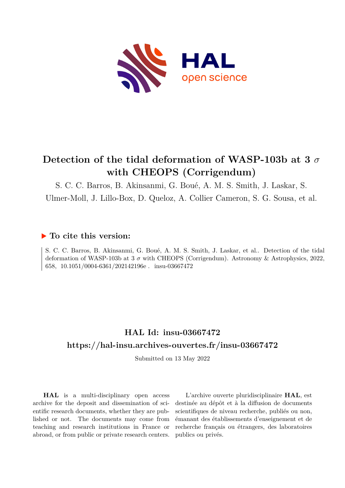

# **Detection of the tidal deformation of WASP-103b at 3** *σ* **with CHEOPS (Corrigendum)**

S. C. C. Barros, B. Akinsanmi, G. Boué, A. M. S. Smith, J. Laskar, S.

Ulmer-Moll, J. Lillo-Box, D. Queloz, A. Collier Cameron, S. G. Sousa, et al.

#### **To cite this version:**

S. C. C. Barros, B. Akinsanmi, G. Boué, A. M. S. Smith, J. Laskar, et al.. Detection of the tidal deformation of WASP-103b at 3 *σ* with CHEOPS (Corrigendum). Astronomy & Astrophysics, 2022, 658, 10.1051/0004-6361/202142196e. insu-03667472

## **HAL Id: insu-03667472 <https://hal-insu.archives-ouvertes.fr/insu-03667472>**

Submitted on 13 May 2022

**HAL** is a multi-disciplinary open access archive for the deposit and dissemination of scientific research documents, whether they are published or not. The documents may come from teaching and research institutions in France or abroad, or from public or private research centers.

L'archive ouverte pluridisciplinaire **HAL**, est destinée au dépôt et à la diffusion de documents scientifiques de niveau recherche, publiés ou non, émanant des établissements d'enseignement et de recherche français ou étrangers, des laboratoires publics ou privés.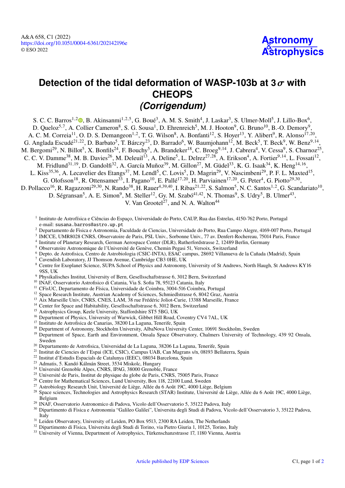### **Detection of the tidal deformation of WASP-103b at <sup>3</sup>**σ **with CHEOPS** *(Corrigendum)*

S. C. C. Barros<sup>1[,](https://orcid.org/0000-0003-2434-3625)2</sup> $\bullet$ , B. Akinsanmi<sup>1,2,5</sup>, G. Boué<sup>3</sup>, A. M. S. Smith<sup>4</sup>, J. Laskar<sup>3</sup>, S. Ulmer-Moll<sup>5</sup>, J. Lillo-Box<sup>6</sup>, D. Queloz<sup>5,7</sup>, A. Collier Cameron<sup>8</sup>, S. G. Sousa<sup>1</sup>, D. Ehrenreich<sup>5</sup>, M. J. Hooton<sup>9</sup>, G. Bruno<sup>10</sup>, B.-O. Demory<sup>9</sup> , A. C. M. Correia<sup>11</sup>, O. D. S. Demangeon<sup>1,2</sup>, T. G. Wilson<sup>8</sup>, A. Bonfanti<sup>12</sup>, S. Hoyer<sup>13</sup>, Y. Alibert<sup>9</sup>, R. Alonso<sup>17,20</sup>, G. Anglada Escudé<sup>21,22</sup>, D. Barbato<sup>5</sup>, T. Bárczy<sup>23</sup>, D. Barrado<sup>6</sup>, W. Baumjohann<sup>12</sup>, M. Beck<sup>5</sup>, T. Beck<sup>9</sup>, W. Benz<sup>9,14</sup>, M. Bergomi<sup>29</sup>, N. Billot<sup>5</sup>, X. Bonfils<sup>24</sup>, F. Bouchy<sup>5</sup>, A. Brandeker<sup>18</sup>, C. Broeg<sup>9,14</sup>, J. Cabrera<sup>4</sup>, V. Cessa<sup>9</sup>, S. Charnoz<sup>25</sup>, C. C. V. Damme<sup>38</sup>, M. B. Davies<sup>26</sup>, M. Deleuil<sup>13</sup>, A. Deline<sup>5</sup>, L. Delrez<sup>27,28</sup>, A. Erikson<sup>4</sup>, A. Fortier<sup>9,14</sup>, L. Fossati<sup>12</sup>, M. Fridlund $^{31,19}$ , D. Gandolfi $^{32}$ , A. García Muñoz $^{39}$ , M. Gillon $^{27}$ , M. Güdel $^{33}$ , K. G. Isaak $^{34}$ , K. Heng $^{14,16}$ , L. Kiss<sup>35,36</sup>, A. Lecavelier des Etangs<sup>37</sup>, M. Lendl<sup>5</sup>, C. Lovis<sup>5</sup>, D. Magrin<sup>29</sup>, V. Nascimbeni<sup>29</sup>, P. F. L. Maxted<sup>15</sup>, G. Olofsson<sup>18</sup>, R. Ottensamer<sup>33</sup>, I. Pagano<sup>10</sup>, E. Pallé<sup>17,20</sup>, H. Parviainen<sup>17,20</sup>, G. Peter<sup>4</sup>, G. Piotto<sup>29,30</sup>, D. Pollacco<sup>16</sup>, R. Ragazzoni<sup>29,30</sup>, N. Rando<sup>38</sup>, H. Rauer<sup>4,39,40</sup>, I. Ribas<sup>21,22</sup>, S. Salmon<sup>5</sup>, N. C. Santos<sup>1,2</sup>, G. Scandariato<sup>10</sup>, D. Ségransan<sup>5</sup>, A. E. Simon<sup>9</sup>, M. Steller<sup>12</sup>, Gy. M. Szabó<sup>41,42</sup>, N. Thomas<sup>9</sup>, S. Udry<sup>5</sup>, B. Ulmer<sup>43</sup>,

V. Van Grootel $^{27}$ , and N. A. Walton<sup>44</sup>

<sup>1</sup> Instituto de Astrofísica e Ciências do Espaço, Universidade do Porto, CAUP, Rua das Estrelas, 4150-762 Porto, Portugal e-mail: [susana.barros@astro.up.pt](mailto:susana.barros@astro.up.pt)

- <sup>2</sup> Departamento de Fisica e Astronomia, Faculdade de Ciencias, Universidade do Porto, Rua Campo Alegre, 4169-007 Porto, Portugal
- 3 IMCCE, UMR8028 CNRS, Observatoire de Paris, PSL Univ., Sorbonne Univ., 77 av. Denfert-Rochereau, 75014 Paris, France
- 4 Institute of Planetary Research, German Aerospace Center (DLR), Rutherfordstrasse 2, 12489 Berlin, Germany
- <sup>5</sup> Observatoire Astronomique de l'Université de Genève, Chemin Pegasi 51, Versoix, Switzerland
- <sup>6</sup> Depto. de Astrofisica, Centro de Astrobiologia (CSIC-INTA), ESAC campus, 28692 Villanueva de la Cañada (Madrid), Spain
- <sup>7</sup> Cavendish Laboratory, JJ Thomson Avenue, Cambridge CB3 0HE, UK
- <sup>8</sup> Centre for Exoplanet Science, SUPA School of Physics and Astronomy, University of St Andrews, North Haugh, St Andrews KY16 9SS, UK
- <sup>9</sup> Physikalisches Institut, University of Bern, Gesellsschaftstrasse 6, 3012 Bern, Switzerland
- <sup>10</sup> INAF, Osservatorio Astrofisico di Catania, Via S. Sofia 78, 95123 Catania, Italy
- <sup>11</sup> CFisUC, Departamento de Física, Universidade de Coimbra, 3004-516 Coimbra, Portugal
- <sup>12</sup> Space Research Institute, Austrian Academy of Sciences, Schmiedlstrasse 6, 8042 Graz, Austria
- <sup>13</sup> Aix Marseille Univ, CNRS, CNES, LAM, 38 rue Frédéric Joliot-Curie, 13388 Marseille, France
- <sup>14</sup> Center for Space and Habitability, Gesellsschaftstrasse 6, 3012 Bern, Switzerland
- <sup>15</sup> Astrophysics Group, Keele University, Staffordshire ST5 5BG, UK
- <sup>16</sup> Department of Physics, University of Warwick, Gibbet Hill Road, Coventry CV4 7AL, UK
- <sup>17</sup> Instituto de Astrofisica de Canarias, 38200 La Laguna, Tenerife, Spain
- <sup>18</sup> Department of Astronomy, Stockholm University, AlbaNova University Center, 10691 Stockholm, Sweden
- <sup>19</sup> Department of Space, Earth and Environment, Onsala Space Observatory, Chalmers University of Technology, 439 92 Onsala, Sweden
- <sup>20</sup> Departamento de Astrofisica, Universidad de La Laguna, 38206 La Laguna, Tenerife, Spain
- <sup>21</sup> Institut de Ciencies de l'Espai (ICE, CSIC), Campus UAB, Can Magrans s/n, 08193 Bellaterra, Spain
- <sup>22</sup> Institut d'Estudis Espacials de Catalunya (IEEC), 08034 Barcelona, Spain
- <sup>23</sup> Admatis, 5. Kandó Kálmán Street, 3534 Miskolc, Hungary
- <sup>24</sup> Université Grenoble Alpes, CNRS, IPAG, 38000 Grenoble, France
- <sup>25</sup> Université de Paris, Institut de physique du globe de Paris, CNRS, 75005 Paris, France
- <sup>26</sup> Centre for Mathematical Sciences, Lund University, Box 118, 22100 Lund, Sweden
- <sup>27</sup> Astrobiology Research Unit, Université de Liège, Allée du 6 Août 19C, 4000 Liège, Belgium
- <sup>28</sup> Space sciences, Technologies and Astrophysics Research (STAR) Institute, Université de Liège, Allée du 6 Août 19C, 4000 Liège, Belgium
- <sup>29</sup> INAF, Osservatorio Astronomico di Padova, Vicolo dell'Osservatorio 5, 35122 Padova, Italy
- <sup>30</sup> Dipartimento di Fisica e Astronomia "Galileo Galilei", Universita degli Studi di Padova, Vicolo dell'Osservatorio 3, 35122 Padova, Italy
- <sup>31</sup> Leiden Observatory, University of Leiden, PO Box 9513, 2300 RA Leiden, The Netherlands
- <sup>32</sup> Dipartimento di Fisica, Universita degli Studi di Torino, via Pietro Giuria 1, 10125, Torino, Italy
- <sup>33</sup> University of Vienna, Department of Astrophysics, Türkenschanzstrasse 17, 1180 Vienna, Austria